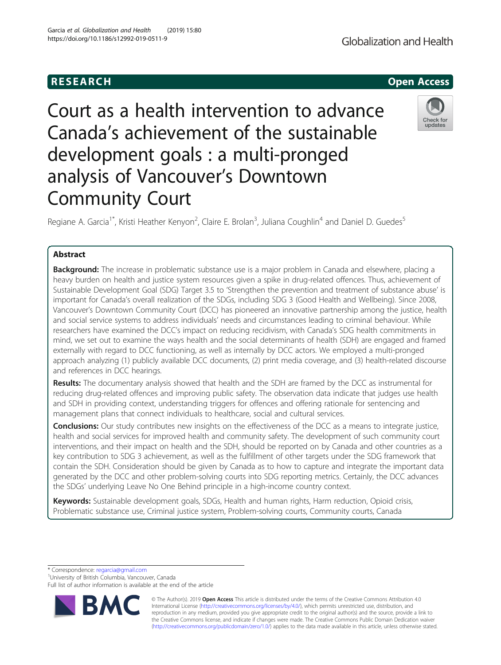# R E S EAR CH Open Access

# Court as a health intervention to advance Canada's achievement of the sustainable development goals : a multi-pronged analysis of Vancouver's Downtown Community Court

Regiane A. Garcia<sup>1\*</sup>, Kristi Heather Kenyon<sup>2</sup>, Claire E. Brolan<sup>3</sup>, Juliana Coughlin<sup>4</sup> and Daniel D. Guedes<sup>5</sup>

# Abstract

**Background:** The increase in problematic substance use is a major problem in Canada and elsewhere, placing a heavy burden on health and justice system resources given a spike in drug-related offences. Thus, achievement of Sustainable Development Goal (SDG) Target 3.5 to 'Strengthen the prevention and treatment of substance abuse' is important for Canada's overall realization of the SDGs, including SDG 3 (Good Health and Wellbeing). Since 2008, Vancouver's Downtown Community Court (DCC) has pioneered an innovative partnership among the justice, health and social service systems to address individuals' needs and circumstances leading to criminal behaviour. While researchers have examined the DCC's impact on reducing recidivism, with Canada's SDG health commitments in mind, we set out to examine the ways health and the social determinants of health (SDH) are engaged and framed externally with regard to DCC functioning, as well as internally by DCC actors. We employed a multi-pronged approach analyzing (1) publicly available DCC documents, (2) print media coverage, and (3) health-related discourse and references in DCC hearings.

Results: The documentary analysis showed that health and the SDH are framed by the DCC as instrumental for reducing drug-related offences and improving public safety. The observation data indicate that judges use health and SDH in providing context, understanding triggers for offences and offering rationale for sentencing and management plans that connect individuals to healthcare, social and cultural services.

**Conclusions:** Our study contributes new insights on the effectiveness of the DCC as a means to integrate justice, health and social services for improved health and community safety. The development of such community court interventions, and their impact on health and the SDH, should be reported on by Canada and other countries as a key contribution to SDG 3 achievement, as well as the fulfillment of other targets under the SDG framework that contain the SDH. Consideration should be given by Canada as to how to capture and integrate the important data generated by the DCC and other problem-solving courts into SDG reporting metrics. Certainly, the DCC advances the SDGs' underlying Leave No One Behind principle in a high-income country context.

Keywords: Sustainable development goals, SDGs, Health and human rights, Harm reduction, Opioid crisis, Problematic substance use, Criminal justice system, Problem-solving courts, Community courts, Canada

\* Correspondence: [regarcia@gmail.com](mailto:regarcia@gmail.com) <sup>1</sup>

<sup>1</sup> University of British Columbia, Vancouver, Canada

Full list of author information is available at the end of the article





Check for undates



© The Author(s). 2019 **Open Access** This article is distributed under the terms of the Creative Commons Attribution 4.0 International License [\(http://creativecommons.org/licenses/by/4.0/](http://creativecommons.org/licenses/by/4.0/)), which permits unrestricted use, distribution, and reproduction in any medium, provided you give appropriate credit to the original author(s) and the source, provide a link to the Creative Commons license, and indicate if changes were made. The Creative Commons Public Domain Dedication waiver [\(http://creativecommons.org/publicdomain/zero/1.0/](http://creativecommons.org/publicdomain/zero/1.0/)) applies to the data made available in this article, unless otherwise stated.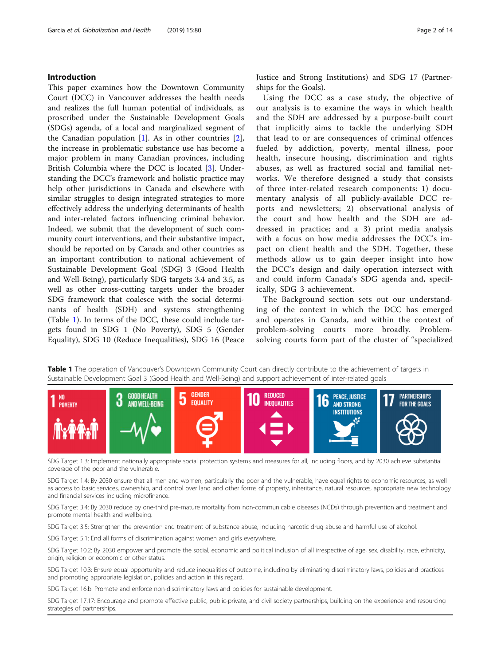# Introduction

This paper examines how the Downtown Community Court (DCC) in Vancouver addresses the health needs and realizes the full human potential of individuals, as proscribed under the Sustainable Development Goals (SDGs) agenda, of a local and marginalized segment of the Canadian population [[1\]](#page-11-0). As in other countries [\[2](#page-11-0)], the increase in problematic substance use has become a major problem in many Canadian provinces, including British Columbia where the DCC is located [\[3\]](#page-11-0). Understanding the DCC's framework and holistic practice may help other jurisdictions in Canada and elsewhere with similar struggles to design integrated strategies to more effectively address the underlying determinants of health and inter-related factors influencing criminal behavior. Indeed, we submit that the development of such community court interventions, and their substantive impact, should be reported on by Canada and other countries as an important contribution to national achievement of Sustainable Development Goal (SDG) 3 (Good Health and Well-Being), particularly SDG targets 3.4 and 3.5, as well as other cross-cutting targets under the broader SDG framework that coalesce with the social determinants of health (SDH) and systems strengthening (Table 1). In terms of the DCC, these could include targets found in SDG 1 (No Poverty), SDG 5 (Gender Equality), SDG 10 (Reduce Inequalities), SDG 16 (Peace

Justice and Strong Institutions) and SDG 17 (Partnerships for the Goals).

Using the DCC as a case study, the objective of our analysis is to examine the ways in which health and the SDH are addressed by a purpose-built court that implicitly aims to tackle the underlying SDH that lead to or are consequences of criminal offences fueled by addiction, poverty, mental illness, poor health, insecure housing, discrimination and rights abuses, as well as fractured social and familial networks. We therefore designed a study that consists of three inter-related research components: 1) documentary analysis of all publicly-available DCC reports and newsletters; 2) observational analysis of the court and how health and the SDH are addressed in practice; and a 3) print media analysis with a focus on how media addresses the DCC's impact on client health and the SDH. Together, these methods allow us to gain deeper insight into how the DCC's design and daily operation intersect with and could inform Canada's SDG agenda and, specifically, SDG 3 achievement.

The Background section sets out our understanding of the context in which the DCC has emerged and operates in Canada, and within the context of problem-solving courts more broadly. Problemsolving courts form part of the cluster of "specialized

**Table 1** The operation of Vancouver's Downtown Community Court can directly contribute to the achievement of targets in Sustainable Development Goal 3 (Good Health and Well-Being) and support achievement of inter-related goals



SDG Target 1.3: Implement nationally appropriate social protection systems and measures for all, including floors, and by 2030 achieve substantial coverage of the poor and the vulnerable.

SDG Target 1.4: By 2030 ensure that all men and women, particularly the poor and the vulnerable, have equal rights to economic resources, as well as access to basic services, ownership, and control over land and other forms of property, inheritance, natural resources, appropriate new technology and financial services including microfinance.

SDG Target 3.4: By 2030 reduce by one-third pre-mature mortality from non-communicable diseases (NCDs) through prevention and treatment and promote mental health and wellbeing.

SDG Target 3.5: Strengthen the prevention and treatment of substance abuse, including narcotic drug abuse and harmful use of alcohol.

SDG Target 5.1: End all forms of discrimination against women and girls everywhere.

SDG Target 10.2: By 2030 empower and promote the social, economic and political inclusion of all irrespective of age, sex, disability, race, ethnicity, origin, religion or economic or other status.

SDG Target 10.3: Ensure equal opportunity and reduce inequalities of outcome, including by eliminating discriminatory laws, policies and practices and promoting appropriate legislation, policies and action in this regard.

SDG Target 16.b: Promote and enforce non-discriminatory laws and policies for sustainable development.

SDG Target 17.17: Encourage and promote effective public, public-private, and civil society partnerships, building on the experience and resourcing strategies of partnerships.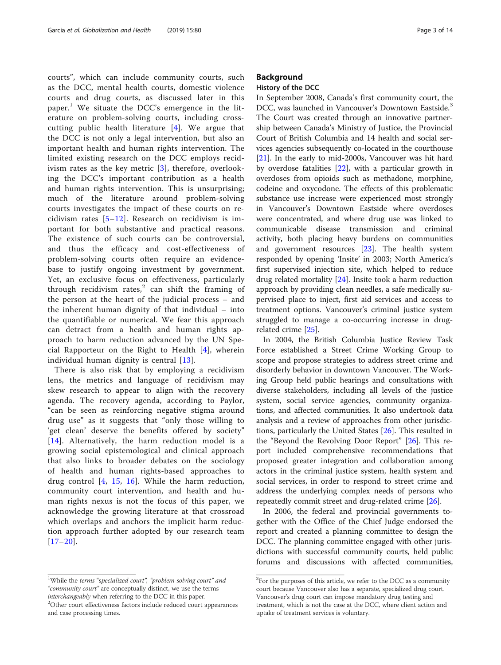courts", which can include community courts, such as the DCC, mental health courts, domestic violence courts and drug courts, as discussed later in this paper.<sup>1</sup> We situate the DCC's emergence in the literature on problem-solving courts, including crosscutting public health literature  $[4]$  $[4]$ . We argue that the DCC is not only a legal intervention, but also an important health and human rights intervention. The limited existing research on the DCC employs recidivism rates as the key metric [\[3](#page-11-0)], therefore, overlooking the DCC's important contribution as a health and human rights intervention. This is unsurprising; much of the literature around problem-solving courts investigates the impact of these courts on recidivism rates  $[5-12]$  $[5-12]$  $[5-12]$ . Research on recidivism is important for both substantive and practical reasons. The existence of such courts can be controversial, and thus the efficacy and cost-effectiveness of problem-solving courts often require an evidencebase to justify ongoing investment by government. Yet, an exclusive focus on effectiveness, particularly through recidivism rates,<sup>2</sup> can shift the framing of the person at the heart of the judicial process – and the inherent human dignity of that individual – into the quantifiable or numerical. We fear this approach can detract from a health and human rights approach to harm reduction advanced by the UN Special Rapporteur on the Right to Health [[4](#page-11-0)], wherein individual human dignity is central [[13](#page-11-0)].

There is also risk that by employing a recidivism lens, the metrics and language of recidivism may skew research to appear to align with the recovery agenda. The recovery agenda, according to Paylor, "can be seen as reinforcing negative stigma around drug use" as it suggests that "only those willing to 'get clean' deserve the benefits offered by society" [[14](#page-11-0)]. Alternatively, the harm reduction model is a growing social epistemological and clinical approach that also links to broader debates on the sociology of health and human rights-based approaches to drug control [\[4,](#page-11-0) [15,](#page-11-0) [16](#page-11-0)]. While the harm reduction, community court intervention, and health and human rights nexus is not the focus of this paper, we acknowledge the growing literature at that crossroad which overlaps and anchors the implicit harm reduction approach further adopted by our research team  $[17–20]$  $[17–20]$  $[17–20]$  $[17–20]$ .

# Background

# History of the DCC

In September 2008, Canada's first community court, the DCC, was launched in Vancouver's Downtown Eastside.<sup>3</sup> The Court was created through an innovative partnership between Canada's Ministry of Justice, the Provincial Court of British Columbia and 14 health and social services agencies subsequently co-located in the courthouse [[21\]](#page-11-0). In the early to mid-2000s, Vancouver was hit hard by overdose fatalities [\[22](#page-11-0)], with a particular growth in overdoses from opioids such as methadone, morphine, codeine and oxycodone. The effects of this problematic substance use increase were experienced most strongly in Vancouver's Downtown Eastside where overdoses were concentrated, and where drug use was linked to communicable disease transmission and criminal activity, both placing heavy burdens on communities and government resources [\[23](#page-11-0)]. The health system responded by opening 'Insite' in 2003; North America's first supervised injection site, which helped to reduce drug related mortality [\[24](#page-11-0)]. Insite took a harm reduction approach by providing clean needles, a safe medically supervised place to inject, first aid services and access to treatment options. Vancouver's criminal justice system struggled to manage a co-occurring increase in drugrelated crime [[25\]](#page-11-0).

In 2004, the British Columbia Justice Review Task Force established a Street Crime Working Group to scope and propose strategies to address street crime and disorderly behavior in downtown Vancouver. The Working Group held public hearings and consultations with diverse stakeholders, including all levels of the justice system, social service agencies, community organizations, and affected communities. It also undertook data analysis and a review of approaches from other jurisdictions, particularly the United States [[26\]](#page-11-0). This resulted in the "Beyond the Revolving Door Report" [\[26\]](#page-11-0). This report included comprehensive recommendations that proposed greater integration and collaboration among actors in the criminal justice system, health system and social services, in order to respond to street crime and address the underlying complex needs of persons who repeatedly commit street and drug-related crime [\[26\]](#page-11-0).

In 2006, the federal and provincial governments together with the Office of the Chief Judge endorsed the report and created a planning committee to design the DCC. The planning committee engaged with other jurisdictions with successful community courts, held public forums and discussions with affected communities,

 $1$ While the terms "specialized court", "problem-solving court" and "community court" are conceptually distinct, we use the terms interchangeably when referring to the DCC in this paper.

<sup>&</sup>lt;sup>2</sup>Other court effectiveness factors include reduced court appearances and case processing times.

<sup>&</sup>lt;sup>3</sup>For the purposes of this article, we refer to the DCC as a community court because Vancouver also has a separate, specialized drug court. Vancouver's drug court can impose mandatory drug testing and treatment, which is not the case at the DCC, where client action and uptake of treatment services is voluntary.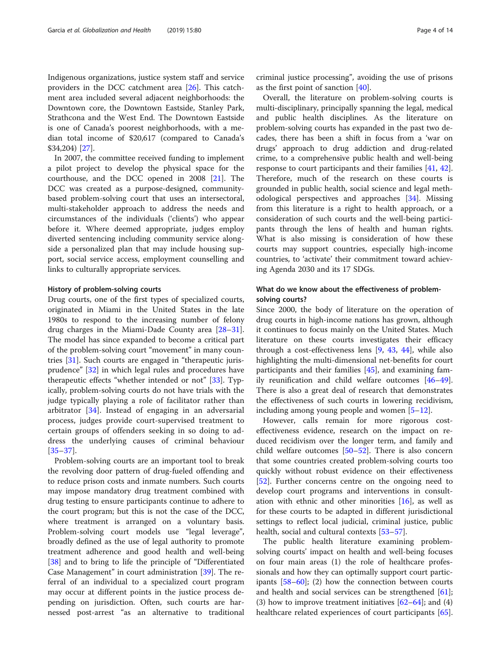Indigenous organizations, justice system staff and service providers in the DCC catchment area [[26\]](#page-11-0). This catchment area included several adjacent neighborhoods: the Downtown core, the Downtown Eastside, Stanley Park, Strathcona and the West End. The Downtown Eastside is one of Canada's poorest neighborhoods, with a median total income of \$20,617 (compared to Canada's \$34,204) [[27](#page-11-0)].

In 2007, the committee received funding to implement a pilot project to develop the physical space for the courthouse, and the DCC opened in 2008 [\[21](#page-11-0)]. The DCC was created as a purpose-designed, communitybased problem-solving court that uses an intersectoral, multi-stakeholder approach to address the needs and circumstances of the individuals ('clients') who appear before it. Where deemed appropriate, judges employ diverted sentencing including community service alongside a personalized plan that may include housing support, social service access, employment counselling and links to culturally appropriate services.

#### History of problem-solving courts

Drug courts, one of the first types of specialized courts, originated in Miami in the United States in the late 1980s to respond to the increasing number of felony drug charges in the Miami-Dade County area [[28](#page-11-0)–[31](#page-11-0)]. The model has since expanded to become a critical part of the problem-solving court "movement" in many countries [[31\]](#page-11-0). Such courts are engaged in "therapeutic jurisprudence" [[32\]](#page-11-0) in which legal rules and procedures have therapeutic effects "whether intended or not" [\[33\]](#page-11-0). Typically, problem-solving courts do not have trials with the judge typically playing a role of facilitator rather than arbitrator [\[34](#page-11-0)]. Instead of engaging in an adversarial process, judges provide court-supervised treatment to certain groups of offenders seeking in so doing to address the underlying causes of criminal behaviour [[35](#page-11-0)–[37\]](#page-11-0).

Problem-solving courts are an important tool to break the revolving door pattern of drug-fueled offending and to reduce prison costs and inmate numbers. Such courts may impose mandatory drug treatment combined with drug testing to ensure participants continue to adhere to the court program; but this is not the case of the DCC, where treatment is arranged on a voluntary basis. Problem-solving court models use "legal leverage", broadly defined as the use of legal authority to promote treatment adherence and good health and well-being [[38\]](#page-11-0) and to bring to life the principle of "Differentiated Case Management" in court administration [\[39](#page-11-0)]. The referral of an individual to a specialized court program may occur at different points in the justice process depending on jurisdiction. Often, such courts are harnessed post-arrest "as an alternative to traditional

criminal justice processing", avoiding the use of prisons as the first point of sanction [\[40](#page-11-0)].

Overall, the literature on problem-solving courts is multi-disciplinary, principally spanning the legal, medical and public health disciplines. As the literature on problem-solving courts has expanded in the past two decades, there has been a shift in focus from a 'war on drugs' approach to drug addiction and drug-related crime, to a comprehensive public health and well-being response to court participants and their families [\[41](#page-11-0), [42](#page-11-0)]. Therefore, much of the research on these courts is grounded in public health, social science and legal methodological perspectives and approaches [\[34](#page-11-0)]. Missing from this literature is a right to health approach, or a consideration of such courts and the well-being participants through the lens of health and human rights. What is also missing is consideration of how these courts may support countries, especially high-income countries, to 'activate' their commitment toward achieving Agenda 2030 and its 17 SDGs.

# What do we know about the effectiveness of problemsolving courts?

Since 2000, the body of literature on the operation of drug courts in high-income nations has grown, although it continues to focus mainly on the United States. Much literature on these courts investigates their efficacy through a cost-effectiveness lens [\[9](#page-11-0), [43,](#page-11-0) [44\]](#page-11-0), while also highlighting the multi-dimensional net-benefits for court participants and their families [[45\]](#page-12-0), and examining family reunification and child welfare outcomes [[46](#page-12-0)–[49](#page-12-0)]. There is also a great deal of research that demonstrates the effectiveness of such courts in lowering recidivism, including among young people and women [\[5](#page-11-0)–[12\]](#page-11-0).

However, calls remain for more rigorous costeffectiveness evidence, research on the impact on reduced recidivism over the longer term, and family and child welfare outcomes [\[50](#page-12-0)–[52\]](#page-12-0). There is also concern that some countries created problem-solving courts too quickly without robust evidence on their effectiveness [[52\]](#page-12-0). Further concerns centre on the ongoing need to develop court programs and interventions in consultation with ethnic and other minorities  $[16]$ , as well as for these courts to be adapted in different jurisdictional settings to reflect local judicial, criminal justice, public health, social and cultural contexts [\[53](#page-12-0)–[57\]](#page-12-0).

The public health literature examining problemsolving courts' impact on health and well-being focuses on four main areas (1) the role of healthcare professionals and how they can optimally support court participants [[58](#page-12-0)–[60](#page-12-0)]; (2) how the connection between courts and health and social services can be strengthened [\[61](#page-12-0)]; (3) how to improve treatment initiatives  $[62-64]$  $[62-64]$  $[62-64]$ ; and  $(4)$ healthcare related experiences of court participants [\[65](#page-12-0)].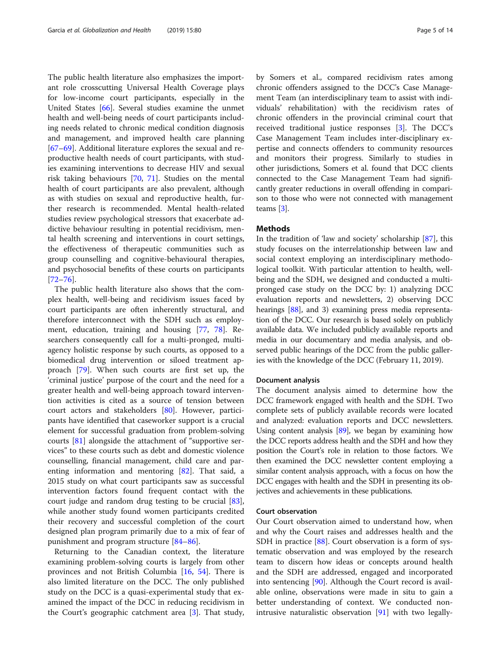The public health literature also emphasizes the important role crosscutting Universal Health Coverage plays for low-income court participants, especially in the United States [\[66\]](#page-12-0). Several studies examine the unmet health and well-being needs of court participants including needs related to chronic medical condition diagnosis and management, and improved health care planning [[67](#page-12-0)–[69](#page-12-0)]. Additional literature explores the sexual and reproductive health needs of court participants, with studies examining interventions to decrease HIV and sexual risk taking behaviours [[70](#page-12-0), [71](#page-12-0)]. Studies on the mental health of court participants are also prevalent, although as with studies on sexual and reproductive health, further research is recommended. Mental health-related studies review psychological stressors that exacerbate addictive behaviour resulting in potential recidivism, mental health screening and interventions in court settings, the effectiveness of therapeutic communities such as group counselling and cognitive-behavioural therapies, and psychosocial benefits of these courts on participants [[72](#page-12-0)–[76](#page-12-0)].

The public health literature also shows that the complex health, well-being and recidivism issues faced by court participants are often inherently structural, and therefore interconnect with the SDH such as employment, education, training and housing [[77](#page-12-0), [78\]](#page-12-0). Researchers consequently call for a multi-pronged, multiagency holistic response by such courts, as opposed to a biomedical drug intervention or siloed treatment approach [[79\]](#page-12-0). When such courts are first set up, the 'criminal justice' purpose of the court and the need for a greater health and well-being approach toward intervention activities is cited as a source of tension between court actors and stakeholders [\[80](#page-12-0)]. However, participants have identified that caseworker support is a crucial element for successful graduation from problem-solving courts [[81\]](#page-12-0) alongside the attachment of "supportive services" to these courts such as debt and domestic violence counselling, financial management, child care and parenting information and mentoring [[82](#page-12-0)]. That said, a 2015 study on what court participants saw as successful intervention factors found frequent contact with the court judge and random drug testing to be crucial [\[83](#page-12-0)], while another study found women participants credited their recovery and successful completion of the court designed plan program primarily due to a mix of fear of punishment and program structure [\[84](#page-12-0)–[86\]](#page-12-0).

Returning to the Canadian context, the literature examining problem-solving courts is largely from other provinces and not British Columbia [\[16](#page-11-0), [54\]](#page-12-0). There is also limited literature on the DCC. The only published study on the DCC is a quasi-experimental study that examined the impact of the DCC in reducing recidivism in the Court's geographic catchment area [\[3](#page-11-0)]. That study, by Somers et al., compared recidivism rates among chronic offenders assigned to the DCC's Case Management Team (an interdisciplinary team to assist with individuals' rehabilitation) with the recidivism rates of chronic offenders in the provincial criminal court that received traditional justice responses [[3\]](#page-11-0). The DCC's Case Management Team includes inter-disciplinary expertise and connects offenders to community resources and monitors their progress. Similarly to studies in other jurisdictions, Somers et al. found that DCC clients connected to the Case Management Team had significantly greater reductions in overall offending in comparison to those who were not connected with management teams [\[3\]](#page-11-0).

# **Methods**

In the tradition of 'law and society' scholarship [\[87](#page-12-0)], this study focuses on the interrelationship between law and social context employing an interdisciplinary methodological toolkit. With particular attention to health, wellbeing and the SDH, we designed and conducted a multipronged case study on the DCC by: 1) analyzing DCC evaluation reports and newsletters, 2) observing DCC hearings [\[88](#page-12-0)], and 3) examining press media representation of the DCC. Our research is based solely on publicly available data. We included publicly available reports and media in our documentary and media analysis, and observed public hearings of the DCC from the public galleries with the knowledge of the DCC (February 11, 2019).

### Document analysis

The document analysis aimed to determine how the DCC framework engaged with health and the SDH. Two complete sets of publicly available records were located and analyzed: evaluation reports and DCC newsletters. Using content analysis [[89\]](#page-12-0), we began by examining how the DCC reports address health and the SDH and how they position the Court's role in relation to those factors. We then examined the DCC newsletter content employing a similar content analysis approach, with a focus on how the DCC engages with health and the SDH in presenting its objectives and achievements in these publications.

#### Court observation

Our Court observation aimed to understand how, when and why the Court raises and addresses health and the SDH in practice [[88\]](#page-12-0). Court observation is a form of systematic observation and was employed by the research team to discern how ideas or concepts around health and the SDH are addressed, engaged and incorporated into sentencing [\[90](#page-12-0)]. Although the Court record is available online, observations were made in situ to gain a better understanding of context. We conducted nonintrusive naturalistic observation [[91](#page-12-0)] with two legally-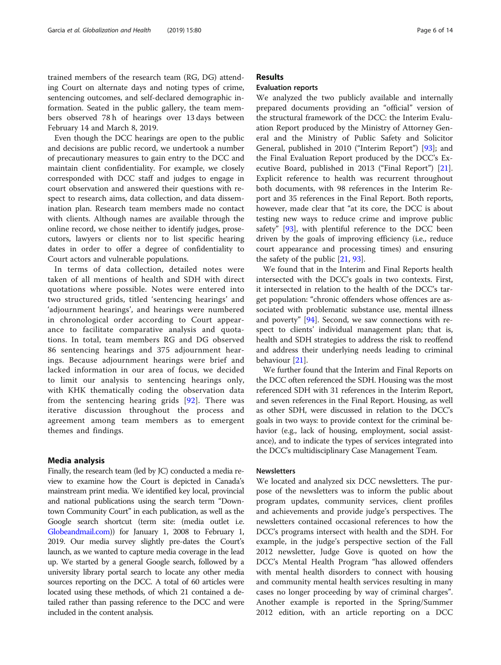trained members of the research team (RG, DG) attending Court on alternate days and noting types of crime, sentencing outcomes, and self-declared demographic information. Seated in the public gallery, the team members observed 78 h of hearings over 13 days between February 14 and March 8, 2019.

Even though the DCC hearings are open to the public and decisions are public record, we undertook a number of precautionary measures to gain entry to the DCC and maintain client confidentiality. For example, we closely corresponded with DCC staff and judges to engage in court observation and answered their questions with respect to research aims, data collection, and data dissemination plan. Research team members made no contact with clients. Although names are available through the online record, we chose neither to identify judges, prosecutors, lawyers or clients nor to list specific hearing dates in order to offer a degree of confidentiality to Court actors and vulnerable populations.

In terms of data collection, detailed notes were taken of all mentions of health and SDH with direct quotations where possible. Notes were entered into two structured grids, titled 'sentencing hearings' and 'adjournment hearings', and hearings were numbered in chronological order according to Court appearance to facilitate comparative analysis and quotations. In total, team members RG and DG observed 86 sentencing hearings and 375 adjournment hearings. Because adjournment hearings were brief and lacked information in our area of focus, we decided to limit our analysis to sentencing hearings only, with KHK thematically coding the observation data from the sentencing hearing grids [[92](#page-12-0)]. There was iterative discussion throughout the process and agreement among team members as to emergent themes and findings.

# Media analysis

Finally, the research team (led by JC) conducted a media review to examine how the Court is depicted in Canada's mainstream print media. We identified key local, provincial and national publications using the search term "Downtown Community Court" in each publication, as well as the Google search shortcut (term site: (media outlet i.e. [Globeandmail.com\)](http://globeandmail.com)) for January 1, 2008 to February 1, 2019. Our media survey slightly pre-dates the Court's launch, as we wanted to capture media coverage in the lead up. We started by a general Google search, followed by a university library portal search to locate any other media sources reporting on the DCC. A total of 60 articles were located using these methods, of which 21 contained a detailed rather than passing reference to the DCC and were included in the content analysis.

# Results

# Evaluation reports

We analyzed the two publicly available and internally prepared documents providing an "official" version of the structural framework of the DCC: the Interim Evaluation Report produced by the Ministry of Attorney General and the Ministry of Public Safety and Solicitor General, published in 2010 ("Interim Report") [[93](#page-12-0)]; and the Final Evaluation Report produced by the DCC's Executive Board, published in 2013 ("Final Report") [\[21](#page-11-0)]. Explicit reference to health was recurrent throughout both documents, with 98 references in the Interim Report and 35 references in the Final Report. Both reports, however, made clear that "at its core, the DCC is about testing new ways to reduce crime and improve public safety" [\[93](#page-12-0)], with plentiful reference to the DCC been driven by the goals of improving efficiency (i.e., reduce court appearance and processing times) and ensuring the safety of the public [[21](#page-11-0), [93](#page-12-0)].

We found that in the Interim and Final Reports health intersected with the DCC's goals in two contexts. First, it intersected in relation to the health of the DCC's target population: "chronic offenders whose offences are associated with problematic substance use, mental illness and poverty" [\[94](#page-12-0)]. Second, we saw connections with respect to clients' individual management plan; that is, health and SDH strategies to address the risk to reoffend and address their underlying needs leading to criminal behaviour [\[21](#page-11-0)].

We further found that the Interim and Final Reports on the DCC often referenced the SDH. Housing was the most referenced SDH with 31 references in the Interim Report, and seven references in the Final Report. Housing, as well as other SDH, were discussed in relation to the DCC's goals in two ways: to provide context for the criminal behavior (e.g., lack of housing, employment, social assistance), and to indicate the types of services integrated into the DCC's multidisciplinary Case Management Team.

## Newsletters

We located and analyzed six DCC newsletters. The purpose of the newsletters was to inform the public about program updates, community services, client profiles and achievements and provide judge's perspectives. The newsletters contained occasional references to how the DCC's programs intersect with health and the SDH. For example, in the judge's perspective section of the Fall 2012 newsletter, Judge Gove is quoted on how the DCC's Mental Health Program "has allowed offenders with mental health disorders to connect with housing and community mental health services resulting in many cases no longer proceeding by way of criminal charges". Another example is reported in the Spring/Summer 2012 edition, with an article reporting on a DCC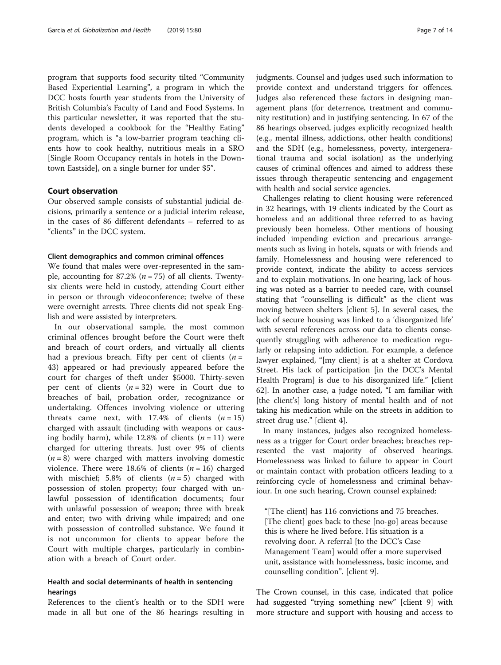program that supports food security tilted "Community Based Experiential Learning", a program in which the DCC hosts fourth year students from the University of British Columbia's Faculty of Land and Food Systems. In this particular newsletter, it was reported that the students developed a cookbook for the "Healthy Eating" program, which is "a low-barrier program teaching clients how to cook healthy, nutritious meals in a SRO [Single Room Occupancy rentals in hotels in the Downtown Eastside], on a single burner for under \$5".

# Court observation

Our observed sample consists of substantial judicial decisions, primarily a sentence or a judicial interim release, in the cases of 86 different defendants – referred to as "clients" in the DCC system.

#### Client demographics and common criminal offences

We found that males were over-represented in the sample, accounting for 87.2% ( $n = 75$ ) of all clients. Twentysix clients were held in custody, attending Court either in person or through videoconference; twelve of these were overnight arrests. Three clients did not speak English and were assisted by interpreters.

In our observational sample, the most common criminal offences brought before the Court were theft and breach of court orders, and virtually all clients had a previous breach. Fifty per cent of clients ( $n =$ 43) appeared or had previously appeared before the court for charges of theft under \$5000. Thirty-seven per cent of clients  $(n = 32)$  were in Court due to breaches of bail, probation order, recognizance or undertaking. Offences involving violence or uttering threats came next, with  $17.4\%$  of clients  $(n = 15)$ charged with assault (including with weapons or causing bodily harm), while 12.8% of clients  $(n = 11)$  were charged for uttering threats. Just over 9% of clients  $(n = 8)$  were charged with matters involving domestic violence. There were 18.6% of clients ( $n = 16$ ) charged with mischief; 5.8% of clients  $(n = 5)$  charged with possession of stolen property; four charged with unlawful possession of identification documents; four with unlawful possession of weapon; three with break and enter; two with driving while impaired; and one with possession of controlled substance. We found it is not uncommon for clients to appear before the Court with multiple charges, particularly in combination with a breach of Court order.

# Health and social determinants of health in sentencing hearings

References to the client's health or to the SDH were made in all but one of the 86 hearings resulting in judgments. Counsel and judges used such information to provide context and understand triggers for offences. Judges also referenced these factors in designing management plans (for deterrence, treatment and community restitution) and in justifying sentencing. In 67 of the 86 hearings observed, judges explicitly recognized health (e.g., mental illness, addictions, other health conditions) and the SDH (e.g., homelessness, poverty, intergenerational trauma and social isolation) as the underlying causes of criminal offences and aimed to address these issues through therapeutic sentencing and engagement with health and social service agencies.

Challenges relating to client housing were referenced in 32 hearings, with 19 clients indicated by the Court as homeless and an additional three referred to as having previously been homeless. Other mentions of housing included impending eviction and precarious arrangements such as living in hotels, squats or with friends and family. Homelessness and housing were referenced to provide context, indicate the ability to access services and to explain motivations. In one hearing, lack of housing was noted as a barrier to needed care, with counsel stating that "counselling is difficult" as the client was moving between shelters [client 5]. In several cases, the lack of secure housing was linked to a 'disorganized life' with several references across our data to clients consequently struggling with adherence to medication regularly or relapsing into addiction. For example, a defence lawyer explained, "[my client] is at a shelter at Cordova Street. His lack of participation [in the DCC's Mental Health Program] is due to his disorganized life." [client 62]. In another case, a judge noted, "I am familiar with [the client's] long history of mental health and of not taking his medication while on the streets in addition to street drug use." [client 4].

In many instances, judges also recognized homelessness as a trigger for Court order breaches; breaches represented the vast majority of observed hearings. Homelessness was linked to failure to appear in Court or maintain contact with probation officers leading to a reinforcing cycle of homelessness and criminal behaviour. In one such hearing, Crown counsel explained:

"[The client] has 116 convictions and 75 breaches. [The client] goes back to these [no-go] areas because this is where he lived before. His situation is a revolving door. A referral [to the DCC's Case Management Team] would offer a more supervised unit, assistance with homelessness, basic income, and counselling condition". [client 9].

The Crown counsel, in this case, indicated that police had suggested "trying something new" [client 9] with more structure and support with housing and access to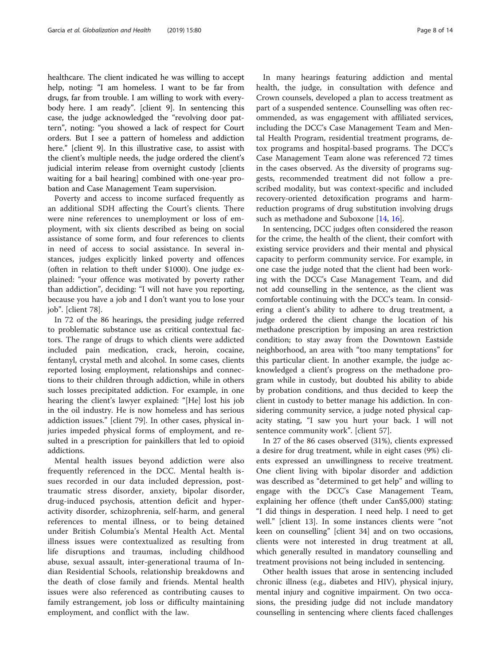healthcare. The client indicated he was willing to accept help, noting: "I am homeless. I want to be far from drugs, far from trouble. I am willing to work with everybody here. I am ready". [client 9]. In sentencing this case, the judge acknowledged the "revolving door pattern", noting: "you showed a lack of respect for Court orders. But I see a pattern of homeless and addiction here." [client 9]. In this illustrative case, to assist with the client's multiple needs, the judge ordered the client's judicial interim release from overnight custody [clients waiting for a bail hearing] combined with one-year probation and Case Management Team supervision.

Poverty and access to income surfaced frequently as an additional SDH affecting the Court's clients. There were nine references to unemployment or loss of employment, with six clients described as being on social assistance of some form, and four references to clients in need of access to social assistance. In several instances, judges explicitly linked poverty and offences (often in relation to theft under \$1000). One judge explained: "your offence was motivated by poverty rather than addiction", deciding: "I will not have you reporting, because you have a job and I don't want you to lose your job". [client 78].

In 72 of the 86 hearings, the presiding judge referred to problematic substance use as critical contextual factors. The range of drugs to which clients were addicted included pain medication, crack, heroin, cocaine, fentanyl, crystal meth and alcohol. In some cases, clients reported losing employment, relationships and connections to their children through addiction, while in others such losses precipitated addiction. For example, in one hearing the client's lawyer explained: "[He] lost his job in the oil industry. He is now homeless and has serious addiction issues." [client 79]. In other cases, physical injuries impeded physical forms of employment, and resulted in a prescription for painkillers that led to opioid addictions.

Mental health issues beyond addiction were also frequently referenced in the DCC. Mental health issues recorded in our data included depression, posttraumatic stress disorder, anxiety, bipolar disorder, drug-induced psychosis, attention deficit and hyperactivity disorder, schizophrenia, self-harm, and general references to mental illness, or to being detained under British Columbia's Mental Health Act. Mental illness issues were contextualized as resulting from life disruptions and traumas, including childhood abuse, sexual assault, inter-generational trauma of Indian Residential Schools, relationship breakdowns and the death of close family and friends. Mental health issues were also referenced as contributing causes to family estrangement, job loss or difficulty maintaining employment, and conflict with the law.

In many hearings featuring addiction and mental health, the judge, in consultation with defence and Crown counsels, developed a plan to access treatment as part of a suspended sentence. Counselling was often recommended, as was engagement with affiliated services, including the DCC's Case Management Team and Mental Health Program, residential treatment programs, detox programs and hospital-based programs. The DCC's Case Management Team alone was referenced 72 times in the cases observed. As the diversity of programs suggests, recommended treatment did not follow a prescribed modality, but was context-specific and included recovery-oriented detoxification programs and harmreduction programs of drug substitution involving drugs such as methadone and Suboxone  $[14, 16]$  $[14, 16]$  $[14, 16]$  $[14, 16]$  $[14, 16]$ .

In sentencing, DCC judges often considered the reason for the crime, the health of the client, their comfort with existing service providers and their mental and physical capacity to perform community service. For example, in one case the judge noted that the client had been working with the DCC's Case Management Team, and did not add counselling in the sentence, as the client was comfortable continuing with the DCC's team. In considering a client's ability to adhere to drug treatment, a judge ordered the client change the location of his methadone prescription by imposing an area restriction condition; to stay away from the Downtown Eastside neighborhood, an area with "too many temptations" for this particular client. In another example, the judge acknowledged a client's progress on the methadone program while in custody, but doubted his ability to abide by probation conditions, and thus decided to keep the client in custody to better manage his addiction. In considering community service, a judge noted physical capacity stating, "I saw you hurt your back. I will not sentence community work". [client 57].

In 27 of the 86 cases observed (31%), clients expressed a desire for drug treatment, while in eight cases (9%) clients expressed an unwillingness to receive treatment. One client living with bipolar disorder and addiction was described as "determined to get help" and willing to engage with the DCC's Case Management Team, explaining her offence (theft under Can\$5,000) stating: "I did things in desperation. I need help. I need to get well." [client 13]. In some instances clients were "not keen on counselling" [client 34] and on two occasions, clients were not interested in drug treatment at all, which generally resulted in mandatory counselling and treatment provisions not being included in sentencing.

Other health issues that arose in sentencing included chronic illness (e.g., diabetes and HIV), physical injury, mental injury and cognitive impairment. On two occasions, the presiding judge did not include mandatory counselling in sentencing where clients faced challenges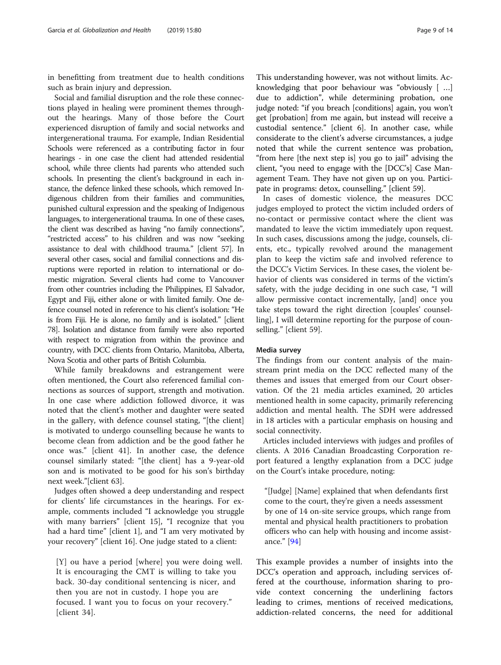in benefitting from treatment due to health conditions such as brain injury and depression.

Social and familial disruption and the role these connections played in healing were prominent themes throughout the hearings. Many of those before the Court experienced disruption of family and social networks and intergenerational trauma. For example, Indian Residential Schools were referenced as a contributing factor in four hearings - in one case the client had attended residential school, while three clients had parents who attended such schools. In presenting the client's background in each instance, the defence linked these schools, which removed Indigenous children from their families and communities, punished cultural expression and the speaking of Indigenous languages, to intergenerational trauma. In one of these cases, the client was described as having "no family connections", "restricted access" to his children and was now "seeking assistance to deal with childhood trauma." [client 57]. In several other cases, social and familial connections and disruptions were reported in relation to international or domestic migration. Several clients had come to Vancouver from other countries including the Philippines, El Salvador, Egypt and Fiji, either alone or with limited family. One defence counsel noted in reference to his client's isolation: "He is from Fiji. He is alone, no family and is isolated." [client 78]. Isolation and distance from family were also reported with respect to migration from within the province and country, with DCC clients from Ontario, Manitoba, Alberta, Nova Scotia and other parts of British Columbia.

While family breakdowns and estrangement were often mentioned, the Court also referenced familial connections as sources of support, strength and motivation. In one case where addiction followed divorce, it was noted that the client's mother and daughter were seated in the gallery, with defence counsel stating, "[the client] is motivated to undergo counselling because he wants to become clean from addiction and be the good father he once was." [client 41]. In another case, the defence counsel similarly stated: "[the client] has a 9-year-old son and is motivated to be good for his son's birthday next week."[client 63].

Judges often showed a deep understanding and respect for clients' life circumstances in the hearings. For example, comments included "I acknowledge you struggle with many barriers" [client 15], "I recognize that you had a hard time" [client 1], and "I am very motivated by your recovery" [client 16]. One judge stated to a client:

[Y] ou have a period [where] you were doing well. It is encouraging the CMT is willing to take you back. 30-day conditional sentencing is nicer, and then you are not in custody. I hope you are focused. I want you to focus on your recovery." [client 34].

This understanding however, was not without limits. Acknowledging that poor behaviour was "obviously [ …] due to addiction", while determining probation, one judge noted: "if you breach [conditions] again, you won't get [probation] from me again, but instead will receive a custodial sentence." [client 6]. In another case, while considerate to the client's adverse circumstances, a judge noted that while the current sentence was probation, "from here [the next step is] you go to jail" advising the client, "you need to engage with the [DCC's] Case Management Team. They have not given up on you. Participate in programs: detox, counselling." [client 59].

In cases of domestic violence, the measures DCC judges employed to protect the victim included orders of no-contact or permissive contact where the client was mandated to leave the victim immediately upon request. In such cases, discussions among the judge, counsels, clients, etc., typically revolved around the management plan to keep the victim safe and involved reference to the DCC's Victim Services. In these cases, the violent behavior of clients was considered in terms of the victim's safety, with the judge deciding in one such case, "I will allow permissive contact incrementally, [and] once you take steps toward the right direction [couples' counselling], I will determine reporting for the purpose of counselling." [client 59].

# Media survey

The findings from our content analysis of the mainstream print media on the DCC reflected many of the themes and issues that emerged from our Court observation. Of the 21 media articles examined, 20 articles mentioned health in some capacity, primarily referencing addiction and mental health. The SDH were addressed in 18 articles with a particular emphasis on housing and social connectivity.

Articles included interviews with judges and profiles of clients. A 2016 Canadian Broadcasting Corporation report featured a lengthy explanation from a DCC judge on the Court's intake procedure, noting:

"[Judge] [Name] explained that when defendants first come to the court, they're given a needs assessment by one of 14 on-site service groups, which range from mental and physical health practitioners to probation officers who can help with housing and income assistance." [\[94](#page-12-0)]

This example provides a number of insights into the DCC's operation and approach, including services offered at the courthouse, information sharing to provide context concerning the underlining factors leading to crimes, mentions of received medications, addiction-related concerns, the need for additional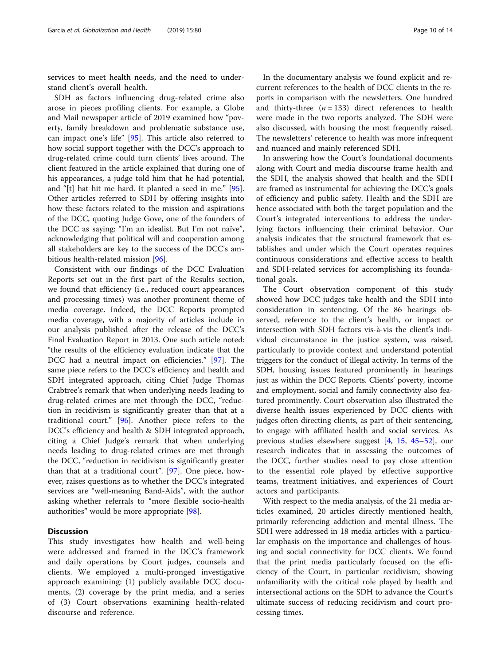services to meet health needs, and the need to understand client's overall health.

SDH as factors influencing drug-related crime also arose in pieces profiling clients. For example, a Globe and Mail newspaper article of 2019 examined how "poverty, family breakdown and problematic substance use, can impact one's life" [\[95\]](#page-12-0). This article also referred to how social support together with the DCC's approach to drug-related crime could turn clients' lives around. The client featured in the article explained that during one of his appearances, a judge told him that he had potential, and "[t] hat hit me hard. It planted a seed in me." [\[95](#page-12-0)]. Other articles referred to SDH by offering insights into how these factors related to the mission and aspirations of the DCC, quoting Judge Gove, one of the founders of the DCC as saying: "I'm an idealist. But I'm not naïve", acknowledging that political will and cooperation among all stakeholders are key to the success of the DCC's ambitious health-related mission [\[96](#page-12-0)].

Consistent with our findings of the DCC Evaluation Reports set out in the first part of the Results section, we found that efficiency (i.e., reduced court appearances and processing times) was another prominent theme of media coverage. Indeed, the DCC Reports prompted media coverage, with a majority of articles include in our analysis published after the release of the DCC's Final Evaluation Report in 2013. One such article noted: "the results of the efficiency evaluation indicate that the DCC had a neutral impact on efficiencies." [[97\]](#page-13-0). The same piece refers to the DCC's efficiency and health and SDH integrated approach, citing Chief Judge Thomas Crabtree's remark that when underlying needs leading to drug-related crimes are met through the DCC, "reduction in recidivism is significantly greater than that at a traditional court." [[96\]](#page-12-0). Another piece refers to the DCC's efficiency and health & SDH integrated approach, citing a Chief Judge's remark that when underlying needs leading to drug-related crimes are met through the DCC, "reduction in recidivism is significantly greater than that at a traditional court". [\[97](#page-13-0)]. One piece, however, raises questions as to whether the DCC's integrated services are "well-meaning Band-Aids", with the author asking whether referrals to "more flexible socio-health authorities" would be more appropriate [[98](#page-13-0)].

# **Discussion**

This study investigates how health and well-being were addressed and framed in the DCC's framework and daily operations by Court judges, counsels and clients. We employed a multi-pronged investigative approach examining: (1) publicly available DCC documents, (2) coverage by the print media, and a series of (3) Court observations examining health-related discourse and reference.

In the documentary analysis we found explicit and recurrent references to the health of DCC clients in the reports in comparison with the newsletters. One hundred and thirty-three  $(n = 133)$  direct references to health were made in the two reports analyzed. The SDH were also discussed, with housing the most frequently raised. The newsletters' reference to health was more infrequent and nuanced and mainly referenced SDH.

In answering how the Court's foundational documents along with Court and media discourse frame health and the SDH, the analysis showed that health and the SDH are framed as instrumental for achieving the DCC's goals of efficiency and public safety. Health and the SDH are hence associated with both the target population and the Court's integrated interventions to address the underlying factors influencing their criminal behavior. Our analysis indicates that the structural framework that establishes and under which the Court operates requires continuous considerations and effective access to health and SDH-related services for accomplishing its foundational goals.

The Court observation component of this study showed how DCC judges take health and the SDH into consideration in sentencing. Of the 86 hearings observed, reference to the client's health, or impact or intersection with SDH factors vis-à-vis the client's individual circumstance in the justice system, was raised, particularly to provide context and understand potential triggers for the conduct of illegal activity. In terms of the SDH, housing issues featured prominently in hearings just as within the DCC Reports. Clients' poverty, income and employment, social and family connectivity also featured prominently. Court observation also illustrated the diverse health issues experienced by DCC clients with judges often directing clients, as part of their sentencing, to engage with affiliated health and social services. As previous studies elsewhere suggest [[4,](#page-11-0) [15,](#page-11-0) [45](#page-12-0)–[52](#page-12-0)], our research indicates that in assessing the outcomes of the DCC, further studies need to pay close attention to the essential role played by effective supportive teams, treatment initiatives, and experiences of Court actors and participants.

With respect to the media analysis, of the 21 media articles examined, 20 articles directly mentioned health, primarily referencing addiction and mental illness. The SDH were addressed in 18 media articles with a particular emphasis on the importance and challenges of housing and social connectivity for DCC clients. We found that the print media particularly focused on the efficiency of the Court, in particular recidivism, showing unfamiliarity with the critical role played by health and intersectional actions on the SDH to advance the Court's ultimate success of reducing recidivism and court processing times.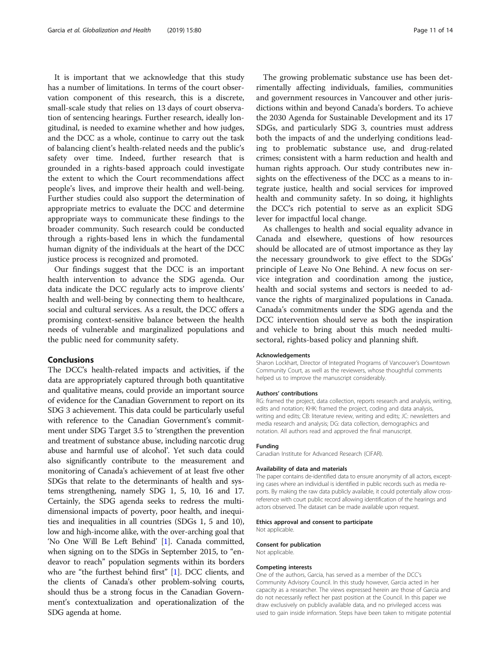It is important that we acknowledge that this study has a number of limitations. In terms of the court observation component of this research, this is a discrete, small-scale study that relies on 13 days of court observation of sentencing hearings. Further research, ideally longitudinal, is needed to examine whether and how judges, and the DCC as a whole, continue to carry out the task of balancing client's health-related needs and the public's safety over time. Indeed, further research that is grounded in a rights-based approach could investigate the extent to which the Court recommendations affect people's lives, and improve their health and well-being. Further studies could also support the determination of appropriate metrics to evaluate the DCC and determine appropriate ways to communicate these findings to the broader community. Such research could be conducted through a rights-based lens in which the fundamental human dignity of the individuals at the heart of the DCC justice process is recognized and promoted.

Our findings suggest that the DCC is an important health intervention to advance the SDG agenda. Our data indicate the DCC regularly acts to improve clients' health and well-being by connecting them to healthcare, social and cultural services. As a result, the DCC offers a promising context-sensitive balance between the health needs of vulnerable and marginalized populations and the public need for community safety.

### Conclusions

The DCC's health-related impacts and activities, if the data are appropriately captured through both quantitative and qualitative means, could provide an important source of evidence for the Canadian Government to report on its SDG 3 achievement. This data could be particularly useful with reference to the Canadian Government's commitment under SDG Target 3.5 to 'strengthen the prevention and treatment of substance abuse, including narcotic drug abuse and harmful use of alcohol'. Yet such data could also significantly contribute to the measurement and monitoring of Canada's achievement of at least five other SDGs that relate to the determinants of health and systems strengthening, namely SDG 1, 5, 10, 16 and 17. Certainly, the SDG agenda seeks to redress the multidimensional impacts of poverty, poor health, and inequities and inequalities in all countries (SDGs 1, 5 and 10), low and high-income alike, with the over-arching goal that 'No One Will Be Left Behind' [[1\]](#page-11-0). Canada committed, when signing on to the SDGs in September 2015, to "endeavor to reach" population segments within its borders who are "the furthest behind first" [\[1\]](#page-11-0). DCC clients, and the clients of Canada's other problem-solving courts, should thus be a strong focus in the Canadian Government's contextualization and operationalization of the SDG agenda at home.

The growing problematic substance use has been detrimentally affecting individuals, families, communities and government resources in Vancouver and other jurisdictions within and beyond Canada's borders. To achieve the 2030 Agenda for Sustainable Development and its 17 SDGs, and particularly SDG 3, countries must address both the impacts of and the underlying conditions leading to problematic substance use, and drug-related crimes; consistent with a harm reduction and health and human rights approach. Our study contributes new insights on the effectiveness of the DCC as a means to integrate justice, health and social services for improved health and community safety. In so doing, it highlights the DCC's rich potential to serve as an explicit SDG lever for impactful local change.

As challenges to health and social equality advance in Canada and elsewhere, questions of how resources should be allocated are of utmost importance as they lay the necessary groundwork to give effect to the SDGs' principle of Leave No One Behind. A new focus on service integration and coordination among the justice, health and social systems and sectors is needed to advance the rights of marginalized populations in Canada. Canada's commitments under the SDG agenda and the DCC intervention should serve as both the inspiration and vehicle to bring about this much needed multisectoral, rights-based policy and planning shift.

#### Acknowledgements

Sharon Lockhart, Director of Integrated Programs of Vancouver's Downtown Community Court, as well as the reviewers, whose thoughtful comments helped us to improve the manuscript considerably.

#### Authors' contributions

RG: framed the project, data collection, reports research and analysis, writing, edits and notation; KHK: framed the project, coding and data analysis, writing and edits; CB: literature review, writing and edits; JC: newsletters and media research and analysis; DG: data collection, demographics and notation. All authors read and approved the final manuscript.

#### Funding

Canadian Institute for Advanced Research (CIFAR).

#### Availability of data and materials

The paper contains de-identified data to ensure anonymity of all actors, excepting cases where an individual is identified in public records such as media reports. By making the raw data publicly available, it could potentially allow crossreference with court public record allowing identification of the hearings and actors observed. The dataset can be made available upon request.

#### Ethics approval and consent to participate

Not applicable.

#### Consent for publication

Not applicable.

#### Competing interests

One of the authors, Garcia, has served as a member of the DCC's Community Advisory Council. In this study however, Garcia acted in her capacity as a researcher. The views expressed herein are those of Garcia and do not necessarily reflect her past position at the Council. In this paper we draw exclusively on publicly available data, and no privileged access was used to gain inside information. Steps have been taken to mitigate potential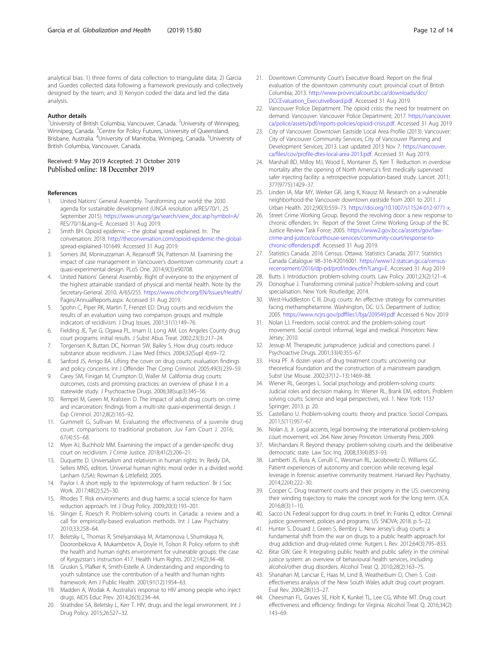<span id="page-11-0"></span>analytical bias: 1) three forms of data collection to triangulate data; 2) Garcia and Guedes collected data following a framework previously and collectively designed by the team; and 3) Kenyon coded the data and led the data analysis.

#### Author details

<sup>1</sup>University of British Columbia, Vancouver, Canada. <sup>2</sup>University of Winnipeg, Winnipeg, Canada. <sup>3</sup>Centre for Policy Futures, University of Queensland, Brisbane, Australia. <sup>4</sup>University of Manitoba, Winnipeg, Canada. <sup>5</sup>University of British Columbia, Vancouver, Canada.

# Received: 9 May 2019 Accepted: 21 October 2019

#### References

- 1. United Nations' General Assembly. Transforming our world: the 2030 agenda for sustainable development (UNGA resolution a/RES/70/1, 25 September 2015). https://www.un.org/ga/search/view\_doc.asp?symbol=A/ RES/70/1&Lang=E. Accessed 31 Aug 2019.
- 2. Smith BH. Opioid epidemic the global spread explained. In: The conversation; 2018. http://theconversation.com/opioid-epidemic-the-globalspread-explained-101649. Accessed 31 Aug 2019.
- Somers JM, Moniruzzaman A, Rezansoff SN, Patterson M. Examining the impact of case management in Vancouver's downtown community court: a quasi-experimental design. PLoS One. 2014;9(3):e90708.
- 4. United Nations' General Assembly. Right of everyone to the enjoyment of the highest attainable standard of physical and mental health. Note by the Secretary-General. 2010. A/65/255. https://www.ohchr.org/EN/Issues/Health/ Pages/AnnualReports.aspx. Accessed 31 Aug 2019.
- 5. Spohn C, Piper RK, Martin T, Frenzel ED. Drug courts and recidivism: the results of an evaluation using two comparison groups and multiple indicators of recidivism. J Drug Issues. 2001;31(1):149–76.
- 6. Fielding JE, Tye G, Ogawa PL, Imam IJ, Long AM. Los Angeles County drug court programs: initial results. J Subst Abus Treat. 2002;23(3):217–24.
- 7. Torgensen K, Buttars DC, Norman SW, Bailey S. How drug courts reduce substance abuse recidivism. J Law Med Ethics. 2004;32(Supl 4):69–72.
- Sanford JS, Arrigo BA. Lifting the cover on drug courts: evaluation findings and policy concerns. Int J Offender Ther Comp Criminol. 2005;49(3):239–59.
- 9. Carey SM, Finigan M, Crumpton D, Waller M. California drug courts: outcomes, costs and promising practices: an overview of phase II in a statewide study. J Psychoactive Drugs. 2006;38(sup3):345–56.
- 10. Rempel M, Green M, Kralstein D. The impact of adult drug courts on crime and incarceration: findings from a multi-site quasi-experimental design. J Exp Criminol. 2012;8(2):165–92.
- 11. Gummelt G, Sullivan M. Evaluating the effectiveness of a juvenile drug court: comparisons to traditional probation. Juv Fam Court J. 2016; 67(4):55–68.
- 12. Myer AJ, Buchholz MM. Examining the impact of a gender-specific drug court on recidivism. J Crime Justice. 2018;41(2):206–21.
- 13. Duquette D. Universalism and relativism in human rights. In: Reidy DA, Sellers MNS, editors. Universal human rights: moral order in a divided world. Lanham (USA): Rowman & Littlefield; 2005.
- 14. Paylor I. A short reply to the 'epistemology of harm reduction'. Br J Soc Work. 2017;48(2):525–30.
- 15. Rhodes T. Risk environments and drug harms: a social science for harm reduction approach. Int J Drug Policy. 2009;20(3):193–201.
- 16. Slinger E, Roesch R. Problem-solving courts in Canada: a review and a call for empirically-based evaluation methods. Int J Law Psychiatry. 2010;33:258–64.
- 17. Beletsky L, Thomas R, Smelyanskaya M, Artamonova I, Shumskaya N, Dooronbekova A, Mukambetov A, Doyle H, Tolson R. Policy reform to shift the health and human rights environment for vulnerable groups: the case of Kyrgyzstan's instruction 417. Health Hum Rights. 2012;14(2):34–48.
- 18. Gruskin S, Plafker K, Smith-Estelle A. Understanding and responding to youth substance use: the contribution of a health and human rights framework. Am J Public Health. 2001;91(12):1954–63.
- 19. Madden A, Wodak A. Australia's response to HIV among people who inject drugs. AIDS Educ Prev. 2014;26(3):234–44.
- 20. Strathdee SA, Beletsky L, Kerr T. HIV, drugs and the legal environment. Int J Drug Policy. 2015;26:S27–32.
- 21. Downtown Community Court's Executive Board. Report on the final evaluation of the downtown community court: provincial court of British Columbia; 2013. http://www.provincialcourt.bc.ca/downloads/dcc/ DCCEvaluation\_ExecutiveBoard.pdf. Accessed 31 Aug 2019.
- 22. Vancouver Police Department. The opioid crisis: the need for treatment on demand. Vancouver: Vancouver Police Department; 2017. https://vancouver. ca/police/assets/pdf/reports-policies/opioid-crisis.pdf. Accessed 31 Aug 2019
- 23. City of Vancouver. Downtown Eastside Local Area Profile (2013). Vancouver: City of Vancouver Community Services, City of Vancouver Planning and Development Services; 2013. Last updated 2013 Nov 7. https://vancouver. ca/files/cov/profile-dtes-local-area-2013.pdf. Accessed 31 Aug 2019.
- 24. Marshall BD, Milloy MJ, Wood E, Montaner JS, Kerr T. Reduction in overdose mortality after the opening of North America's first medically supervised safer injecting facility: a retrospective population-based study. Lancet. 2011; 377(9775):1429–37.
- 25. Linden IA, Mar MY, Werker GR, Jang K, Krausz M. Research on a vulnerable neighborhood-the Vancouver downtown eastside from 2001 to 2011. J Urban Health. 2012;90(3):559–73. https://doi.org/10.1007/s11524-012-9771-x.
- 26. Street Crime Working Group. Beyond the revolving door: a new response to chronic offenders. In: Report of the Street Crime Working Group of the BC Justice Review Task Force; 2005. https://www2.gov.bc.ca/assets/gov/lawcrime-and-justice/courthouse-services/community-court/response-tochronic-offenders.pdf. Accessed 31 Aug 2019.
- 27. Statistics Canada. 2016 Census. Ottawa: Statistics Canada; 2017. Statistics Canada Catalogue 98–316-X2016001. https://www12.statcan.gc.ca/censusrecensement/2016/dp-pd/prof/index.cfm?Lang=E. Accessed 31 Aug 2019
- 28. Butts J. Introduction: problem-solving courts. Law Policy. 2001;23(2):121–4.
- 29. Donoghue J. Transforming criminal justice? Problem-solving and court specialisation. New York: Routledge; 2014.
- 30. West-Huddleston C III. Drug courts: An effective strategy for communities facing methamphetamine. Washington, DC: U.S. Department of Justice; 2005. https://www.ncjrs.gov/pdffiles1/bja/209549.pdf Accessed 6 Nov 2019
- 31. Nolan LJ. Freedom, social control, and the problem-solving court movement. Social control: informal, legal and medical. Princeton: New Jersey; 2010.
- 32. Jessup M. Therapeutic jurisprudence: judicial and corrections panel. J Psychoactive Drugs. 2001;33(4):355–67.
- 33. Hora PF. A dozen years of drug treatment courts: uncovering our theoretical foundation and the construction of a mainstream paradigm. Subst Use Misuse. 2002;37(12–13):1469–88.
- 34. Wiener RL, Georges L. Social psychology and problem-solving courts: Judicial roles and decision making. In: Wiener RL, Brank EM, editors. Problem solving courts: Science and legal perspectives, vol. 1. New York: 1137 Springer; 2013. p. 20.
- 35. Castellano U. Problem-solving courts: theory and practice. Sociol Compass. 2011;5(11):957–67.
- Nolan JL Jr. Legal accents, legal borrowing: the international problem-solving court movement, vol. 264. New Jersey Princeton: University Press; 2009.
- 37. Mirchandani R. Beyond therapy: problem-solving courts and the deliberative democratic state. Law Soc Inq. 2008;33(4):853–93.
- 38. Lamberti JS, Russ A, Cerulli C, Weisman RL, Jacobowitz D, Williams GC. Patient experiences of autonomy and coercion while receiving legal leverage in forensic assertive community treatment. Harvard Rev Psychiatry. 2014;22(4):222–30.
- 39. Cooper C. Drug treatment courts and their progeny in the US: overcoming their winding trajectory to make the concept work for the long term. IJCA. 2016;8(3):1–10.
- 40. Sacco LN. Federal support for drug courts: in brief. In: Franks Q, editor. Criminal justice: government, policies and programs. US: SNOVA; 2018. p. 5–22.
- 41. Hunter S, Douard J, Green S, Bembry L. New Jersey's drug courts: a fundamental shift from the war on drugs to a public health approach for drug addiction and drug-related crime. Rutgers L Rev. 2012;64(3):795–833.
- 42. Bitar GW, Gee R. Integrating public health and public safety in the criminal justice system: an overview of behavioural health services, including alcohol/other drug disorders. Alcohol Treat Q. 2010;28(2):163–75.
- 43. Shanahan M, Lancsar E, Haas M, Lind B, Weatherburn D, Chen S. Costeffectiveness analysis of the New South Wales adult drug court program. Eval Rev. 2004;28(1):3–27.
- 44. Cheesman FL, Graves SE, Holt K, Kunkel TL, Lee CG, White MT. Drug court effectiveness and efficiency: findings for Virginia. Alcohol Treat Q. 2016;34(2): 143–69.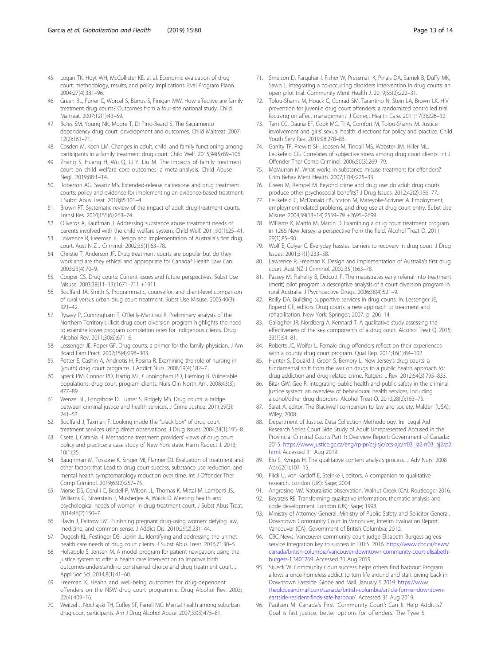- <span id="page-12-0"></span>45. Logan TK, Hoyt WH, McCollister KE, et al. Economic evaluation of drug court: methodology, results, and policy implications. Eval Program Plann. 2004;27(4):381–96.
- 46. Green BL, Furrer C, Worcel S, Burrus S, Finigan MW. How effective are family treatment drug courts? Outcomes from a four-site national study. Child Maltreat. 2007;12(1):43–59.
- 47. Boles SM, Young NK, Moore T, Di Pirro-Beard S. The Sacramento dependency drug court: development and outcomes. Child Maltreat. 2007; 12(2):161–71.
- 48. Cosden M, Koch LM. Changes in adult, child, and family functioning among participants in a family treatment drug court. Child Welf. 2015;94(5):89–106.
- 49. Zhang S, Huang H, Wu Q, Li Y, Liu M. The impacts of family treatment court on child welfare core outcomes: a meta-analysis. Child Abuse Negl. 2019;88:1–14.
- 50. Roberton AG, Swartz MS. Extended-release naltrexone and drug treatment courts: policy and evidence for implementing an evidence-based treatment. J Subst Abus Treat. 2018;85:101–4.
- 51. Brown RT. Systematic review of the impact of adult drug-treatment courts. Transl Res. 2010;155(6):263–74.
- 52. Oliveros A, Kauffman J. Addressing substance abuse treatment needs of parents involved with the child welfare system. Child Welf. 2011;90(1):25–41.
- 53. Lawrence R, Freeman K. Design and implementation of Australia's first drug court. Aust N Z J Criminol. 2002;35(1):63–78.
- 54. Christie T, Anderson JF. Drug treatment courts are popular but do they work and are they ethical and appropriate for Canada? Health Law Can. 2003;23(4):70–9.
- 55. Cooper CS. Drug courts: Current issues and future perspectives. Subst Use Misuse. 2003;38(11–13):1671–711 +1911.
- 56. Bouffard JA, Smith S. Programmatic, counsellor, and client-level comparison of rural versus urban drug court treatment. Subst Use Misuse. 2005;40(3): 321–42.
- 57. Rysavy P, Cunningham T, O'Reilly-Martinez R. Preliminary analysis of the Northern Territory's illicit drug court diversion program highlights the need to examine lower program completion rates for indigenous clients. Drug Alcohol Rev. 2011;30(6):671–6.
- 58. Lessenger JE, Roper GF. Drug courts: a primer for the family physician. J Am Board Fam Pract. 2002;15(4):298–303.
- 59. Potter E, Cashin A, Andriotis H, Rosina R. Examining the role of nursing in (youth) drug court programs. J Addict Nurs. 2008;19(4):182–7.
- 60. Speck PM, Connor PD, Hartig MT, Cunningham PD, Fleming B. Vulnerable populations: drug court program clients. Nurs Clin North Am. 2008;43(3): 477–89.
- 61. Wenzel SL, Longshore D, Turner S, Ridgely MS. Drug courts: a bridge between criminal justice and health services. J Crime Justice. 2011;29(3): 241–53.
- 62. Bouffard J, Taxman F. Looking inside the "black box" of drug court treatment services using direct observations. J Drug Issues. 2004;34(1):195–8.
- 63. Csete J, Catania H. Methadone treatment providers' views of drug court policy and practice: a case study of New York state. Harm Reduct J. 2013; 10(1):35.
- 64. Baughman M, Tossone K, Singer MI, Flanner DJ. Evaluation of treatment and other factors that Lead to drug court success, substance use reduction, and mental health symptomatology reduction over time. Int J Offender Ther Comp Criminol. 2019;63(2):257–75.
- 65. Morse DS, Cerulli C, Bedell P, Wilson JL, Thomas K, Mittal M, Lamberti JS, Williams G, Silverstein J, Mukherjee A, Walck D. Meeting health and psychological needs of women in drug treatment court. J Subst Abus Treat. 2014;46(2):150–7.
- 66. Flavin J, Paltrow LM. Punishing pregnant drug-using women: defying law, medicine, and common sense. J Addict Dis. 2010;29(2):231–44.
- 67. Dugosh KL, Festinger DS, Lipkin JL. Identifying and addressing the unmet health care needs of drug court clients. J Subst Abus Treat. 2016;71:30–5.
- 68. Holsapple S, Jensen M. A model program for patient navigation: using the justice system to offer a health care intervention to improve birth outcomes-understanding constrained choice and drug treatment court. J Appl Soc Sci. 2014;8(1):41–60.
- 69. Freeman K. Health and well-being outcomes for drug-dependent offenders on the NSW drug court programme. Drug Alcohol Rev. 2003; 22(4):409–16.
- 70. Weitzel J, Nochajski TH, Coffey SF, Farrell MG. Mental health among suburban drug court participants. Am J Drug Alcohol Abuse. 2007;33(3):475–81.
- 71. Smelson D, Farquhar I, Fisher W, Pressman K, Pinals DA, Samek B, Duffy MK, Sawh L. Integrating a co-occurring disorders intervention in drug courts: an open pilot trial. Community Ment Health J. 2019;55(2):222–31.
- 72. Tolou-Shams M, Houck C, Conrad SM, Tarantino N, Stein LA, Brown LK. HIV prevention for juvenile drug court offenders: a randomized controlled trial focusing on affect management. J Correct Health Care. 2011;17(3):226–32.
- Tam CC, Dauria EF, Cook MC, Ti A, Comfort M, Tolou-Shams M. Justice involvement and girls' sexual health: directions for policy and practice. Child Youth Serv Rev. 2019;98:278–83.
- 74. Garrity TF, Prewitt SH, Joosen M, Tindall MS, Webster JM, Hiller ML, Leukefeld CG. Correlates of subjective stress among drug court clients. Int J Offender Ther Comp Criminol. 2006;50(3):269–79.
- 75. McMurran M. What works in substance misuse treatment for offenders? Crim Behav Ment Health. 2007;17(4):225–33.
- 76. Green M, Rempel M. Beyond crime and drug use: do adult drug courts produce other psychosocial benefits? J Drug Issues. 2012;42(2):156–77.
- 77. Leukefeld C, McDonald HS, Staton M, Mateyoke-Scrivner A. Employment, employment-related problems, and drug use at drug court entry. Subst Use Misuse. 2004;39(13–14):2559–79 +2695–2699.
- 78. Williams K, Martin M, Martin D. Examining a drug court treatment program in 1266 New Jersey: a perspective from the field. Alcohol Treat Q. 2011; 29(1):85–90.
- 79. Wolf E, Colyer C. Everyday hassles: barriers to recovery in drug court. J Drug Issues. 2001;31(1):233–58.
- 80. Lawrence R, Freeman K. Design and implementation of Australia's first drug court. Aust NZ J Criminol. 2002;35(1):63–78.
- 81. Passey M, Flaherty B, Didcott P. The magistrates early referral into treatment (merit) pilot program: a descriptive analysis of a court diversion program in rural Australia. J Psychoactive Drugs. 2006;38(4):521–9.
- 82. Reilly DA. Building supportive services in drug courts. In: Lessenger JE, Roperd GF, editors. Drug courts: a new approach to treatment and rehabilitation. New York: Springer; 2007. p. 206–14.
- 83. Gallagher JR, Nordberg A, Kennard T. A qualitative study assessing the effectiveness of the key components of a drug court. Alcohol Treat Q. 2015; 33(1):64–81.
- 84. Roberts JC, Wolfer L. Female drug offenders reflect on their experiences with a county drug court program. Qual Rep. 2011;16(1):84–102.
- Hunter S, Douard J, Green S, Bembry L. New Jersey's drug courts: a fundamental shift from the war on drugs to a public health approach for drug addiction and drug-related crime. Rutgers L Rev. 2012;64(3):795–833.
- 86. Bitar GW, Gee R. Integrating public health and public safety in the criminal justice system: an overview of behavioural health services, including alcohol/other drug disorders. Alcohol Treat Q. 2010;28(2):163–75.
- 87. Sarat A, editor. The Blackwell companion to law and society. Malden (USA): Wiley; 2008.
- 88. Department of Justice. Data Collection Methodology. In: Legal Aid Research Series Court Side Study of Adult Unrepresented Accused in the Provincial Criminal Courts Part 1: Overview Report: Government of Canada; 2015. https://www.justice.gc.ca/eng/rp-pr/csj-sjc/ccs-ajc/rr03\_la2-rr03\_aj2/p2. html. Accessed 31 Aug 2019.
- 89. Elo S, Kyngäs H. The qualitative content analysis process. J Adv Nurs. 2008 Apr;62(1):107–15.
- 90. Flick U, von Kardoff E, Steinke I, editors. A companion to qualitative research. London (UK): Sage; 2004.
- 91. Angrosino MV. Naturalistic observation. Walnut Creek (CA): Routledge; 2016.
- 92. Boyatzis RE. Transforming qualitative information: thematic analysis and code development. London (UK): Sage; 1998.
- 93. Ministry of Attorney General, Ministry of Public Safety and Solicitor General. Downtown Community Court in Vancouver, Interim Evaluation Report. Vancouver (CA): Government of British Columbia; 2010.
- 94. CBC News. Vancouver community court judge Elisabeth Burgess agrees service integration key to success in DTES. 2016. https://www.cbc.ca/news/ canada/british-columbia/vancouver-downtown-community-court-elisabethburgess-1.3401269. Accessed 31 Aug 2019.
- 95. Stueck W. Community Court success helps others find harbour: Program allows a once-homeless addict to turn life around and start giving back in Downtown Eastside. Globe and Mail. January 5 2019. https://www. theglobeandmail.com/canada/british-columbia/article-former-downtowneastside-resident-finds-safe-harbour/. Accessed 31 Aug 2019.
- 96. Paulsen M. Canada's First 'Community Court': Can It Help Addicts? Goal is fast justice, better options for offenders. The Tyee 5